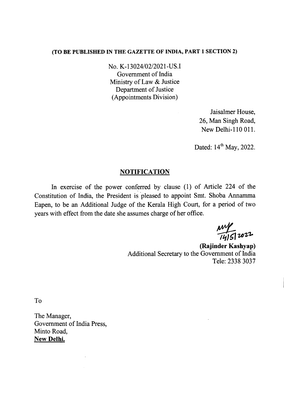### (TO BE PUBLISHED IN THE GAZETTE OF INDIA, PART 1 SECTION 2)

No. K-13024/02/2021-US.I Government of India Ministry of Law & Justice Department of Justice (Appointments Division)

> Jaisalmer House, 26, Man Singh Road, New Delhi-ll0 011.

Dated: 14<sup>th</sup> May, 2022.

## **NOTIFICATION**

In exercise of the power conferred by clause (1) of Article 224 of the Constitution of India, the President is 'pleased to appoint Smt. Shoba Annamma Eapen, to be an Additional Judge of the Kerala High Court, for a period of two years with effect from the date she assumes charge of her office.

 $\frac{MW}{14151}$  2022

(Rajinder Kashyap) Additional Secretary to the Government of India Tele: 2338 3037

To

The Manager, Government of India Press, Minto Road, New Delhi.